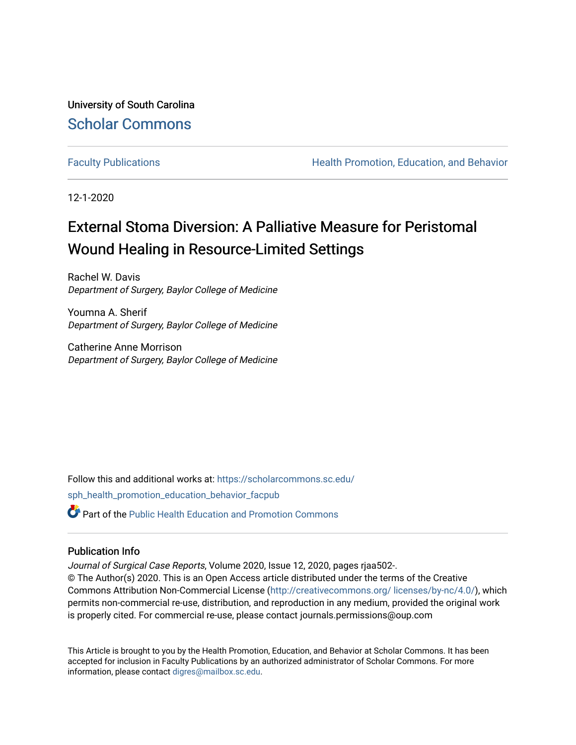University of South Carolina [Scholar Commons](https://scholarcommons.sc.edu/) 

[Faculty Publications](https://scholarcommons.sc.edu/sph_health_promotion_education_behavior_facpub) **Health Promotion, Education, and Behavior Health Promotion, Education, and Behavior** 

12-1-2020

## External Stoma Diversion: A Palliative Measure for Peristomal Wound Healing in Resource-Limited Settings

Rachel W. Davis Department of Surgery, Baylor College of Medicine

Youmna A. Sherif Department of Surgery, Baylor College of Medicine

Catherine Anne Morrison Department of Surgery, Baylor College of Medicine

Follow this and additional works at: [https://scholarcommons.sc.edu/](https://scholarcommons.sc.edu/sph_health_promotion_education_behavior_facpub?utm_source=scholarcommons.sc.edu%2Fsph_health_promotion_education_behavior_facpub%2F353&utm_medium=PDF&utm_campaign=PDFCoverPages) [sph\\_health\\_promotion\\_education\\_behavior\\_facpub](https://scholarcommons.sc.edu/sph_health_promotion_education_behavior_facpub?utm_source=scholarcommons.sc.edu%2Fsph_health_promotion_education_behavior_facpub%2F353&utm_medium=PDF&utm_campaign=PDFCoverPages)

Part of the [Public Health Education and Promotion Commons](http://network.bepress.com/hgg/discipline/743?utm_source=scholarcommons.sc.edu%2Fsph_health_promotion_education_behavior_facpub%2F353&utm_medium=PDF&utm_campaign=PDFCoverPages) 

## Publication Info

Journal of Surgical Case Reports, Volume 2020, Issue 12, 2020, pages rjaa502-.

© The Author(s) 2020. This is an Open Access article distributed under the terms of the Creative Commons Attribution Non-Commercial License ([http://creativecommons.org/ licenses/by-nc/4.0/](http://creativecommons.org/%20licenses/by-nc/4.0/)), which permits non-commercial re-use, distribution, and reproduction in any medium, provided the original work is properly cited. For commercial re-use, please contact journals.permissions@oup.com

This Article is brought to you by the Health Promotion, Education, and Behavior at Scholar Commons. It has been accepted for inclusion in Faculty Publications by an authorized administrator of Scholar Commons. For more information, please contact [digres@mailbox.sc.edu.](mailto:digres@mailbox.sc.edu)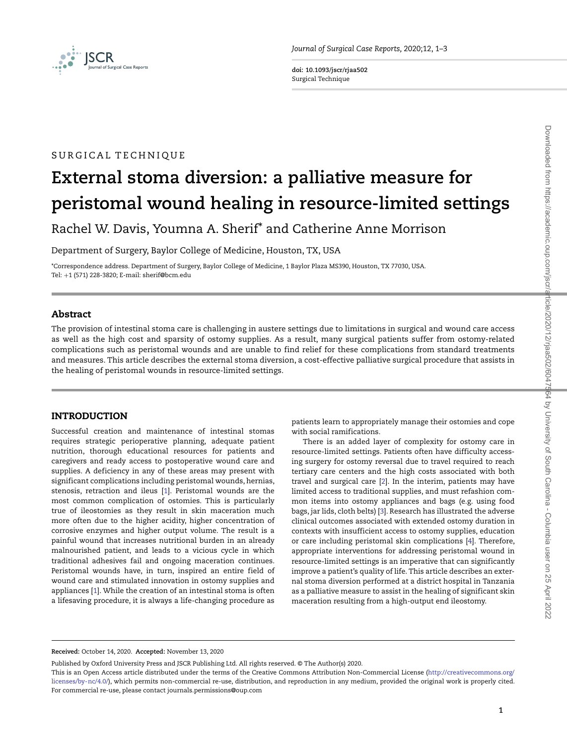

**doi: 10.1093/jscr/rjaa502** Surgical Technique

## SURGICAL TECHNIQUE

# **External stoma diversion: a palliative measure for peristomal wound healing in resource-limited settings**

Rachel W. Davis, Youmna A. Sherif\* and Catherine Anne Morrison

Department of Surgery, Baylor College of Medicine, Houston, TX, USA

\*Correspondence address. Department of Surgery, Baylor College of Medicine, 1 Baylor Plaza MS390, Houston, TX 77030, USA. Tel: +1 (571) 228-3820; E-mail: sherif@bcm.edu

## **Abstract**

The provision of intestinal stoma care is challenging in austere settings due to limitations in surgical and wound care access as well as the high cost and sparsity of ostomy supplies. As a result, many surgical patients suffer from ostomy-related complications such as peristomal wounds and are unable to find relief for these complications from standard treatments and measures. This article describes the external stoma diversion, a cost-effective palliative surgical procedure that assists in the healing of peristomal wounds in resource-limited settings.

#### **INTRODUCTION**

Successful creation and maintenance of intestinal stomas requires strategic perioperative planning, adequate patient nutrition, thorough educational resources for patients and caregivers and ready access to postoperative wound care and supplies. A deficiency in any of these areas may present with significant complications including peristomal wounds, hernias, stenosis, retraction and ileus [\[1\]](#page-3-0). Peristomal wounds are the most common complication of ostomies. This is particularly true of ileostomies as they result in skin maceration much more often due to the higher acidity, higher concentration of corrosive enzymes and higher output volume. The result is a painful wound that increases nutritional burden in an already malnourished patient, and leads to a vicious cycle in which traditional adhesives fail and ongoing maceration continues. Peristomal wounds have, in turn, inspired an entire field of wound care and stimulated innovation in ostomy supplies and appliances [\[1\]](#page-3-0). While the creation of an intestinal stoma is often a lifesaving procedure, it is always a life-changing procedure as

patients learn to appropriately manage their ostomies and cope with social ramifications.

There is an added layer of complexity for ostomy care in resource-limited settings. Patients often have difficulty accessing surgery for ostomy reversal due to travel required to reach tertiary care centers and the high costs associated with both travel and surgical care [\[2\]](#page-3-1). In the interim, patients may have limited access to traditional supplies, and must refashion common items into ostomy appliances and bags (e.g. using food bags, jar lids, cloth belts) [\[3\]](#page-3-2). Research has illustrated the adverse clinical outcomes associated with extended ostomy duration in contexts with insufficient access to ostomy supplies, education or care including peristomal skin complications [\[4\]](#page-3-3). Therefore, appropriate interventions for addressing peristomal wound in resource-limited settings is an imperative that can significantly improve a patient's quality of life. This article describes an external stoma diversion performed at a district hospital in Tanzania as a palliative measure to assist in the healing of significant skin maceration resulting from a high-output end ileostomy.

**Received:** October 14, 2020. **Accepted:** November 13, 2020

Published by Oxford University Press and JSCR Publishing Ltd. All rights reserved. © The Author(s) 2020.

This is an Open Access article distributed under the terms of the Creative Commons Attribution Non-Commercial License [\(http://creativecommons.org/](http://creativecommons.org/licenses/by-nc/4.0/) [licenses/by-nc/4.0/\)](http://creativecommons.org/licenses/by-nc/4.0/), which permits non-commercial re-use, distribution, and reproduction in any medium, provided the original work is properly cited. For commercial re-use, please contact journals.permissions@oup.com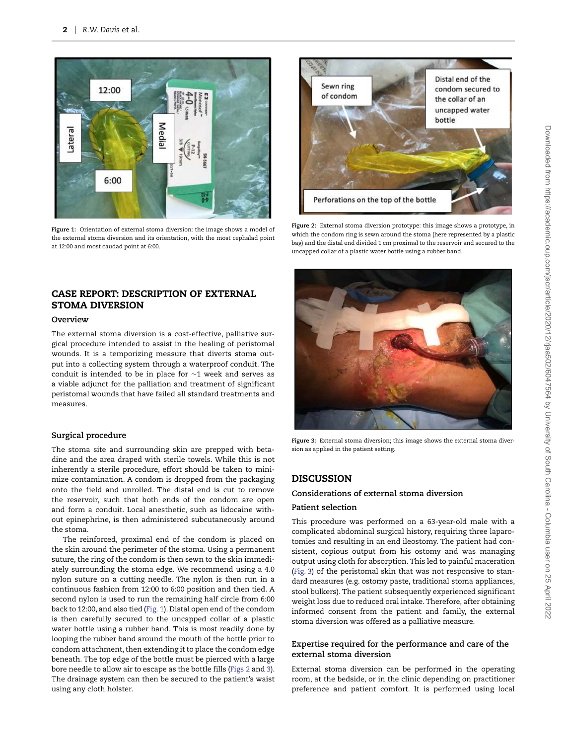

**Figure 1:** Orientation of external stoma diversion: the image shows a model of the external stoma diversion and its orientation, with the most cephalad point at 12:00 and most caudad point at 6:00.

## <span id="page-2-0"></span>**CASE REPORT: DESCRIPTION OF EXTERNAL STOMA DIVERSION**

#### **Overview**

The external stoma diversion is a cost-effective, palliative surgical procedure intended to assist in the healing of peristomal wounds. It is a temporizing measure that diverts stoma output into a collecting system through a waterproof conduit. The conduit is intended to be in place for ∼1 week and serves as a viable adjunct for the palliation and treatment of significant peristomal wounds that have failed all standard treatments and measures.

#### **Surgical procedure**

The stoma site and surrounding skin are prepped with betadine and the area draped with sterile towels. While this is not inherently a sterile procedure, effort should be taken to minimize contamination. A condom is dropped from the packaging onto the field and unrolled. The distal end is cut to remove the reservoir, such that both ends of the condom are open and form a conduit. Local anesthetic, such as lidocaine without epinephrine, is then administered subcutaneously around the stoma.

The reinforced, proximal end of the condom is placed on the skin around the perimeter of the stoma. Using a permanent suture, the ring of the condom is then sewn to the skin immediately surrounding the stoma edge. We recommend using a 4.0 nylon suture on a cutting needle. The nylon is then run in a continuous fashion from 12:00 to 6:00 position and then tied. A second nylon is used to run the remaining half circle from 6:00 back to 12:00, and also tied [\(Fig. 1\)](#page-2-0). Distal open end of the condom is then carefully secured to the uncapped collar of a plastic water bottle using a rubber band. This is most readily done by looping the rubber band around the mouth of the bottle prior to condom attachment, then extending it to place the condom edge beneath. The top edge of the bottle must be pierced with a large bore needle to allow air to escape as the bottle fills [\(Figs 2](#page-2-1) and [3\)](#page-2-2). The drainage system can then be secured to the patient's waist using any cloth holster.



**Figure 2:** External stoma diversion prototype: this image shows a prototype, in which the condom ring is sewn around the stoma (here represented by a plastic bag) and the distal end divided 1 cm proximal to the reservoir and secured to the uncapped collar of a plastic water bottle using a rubber band.

<span id="page-2-1"></span>

**Figure 3:** External stoma diversion; this image shows the external stoma diversion as applied in the patient setting.

## <span id="page-2-2"></span>**DISCUSSION**

#### **Considerations of external stoma diversion**

#### **Patient selection**

This procedure was performed on a 63-year-old male with a complicated abdominal surgical history, requiring three laparotomies and resulting in an end ileostomy. The patient had consistent, copious output from his ostomy and was managing output using cloth for absorption. This led to painful maceration [\(Fig. 3\)](#page-2-2) of the peristomal skin that was not responsive to standard measures (e.g. ostomy paste, traditional stoma appliances, stool bulkers). The patient subsequently experienced significant weight loss due to reduced oral intake. Therefore, after obtaining informed consent from the patient and family, the external stoma diversion was offered as a palliative measure.

#### **Expertise required for the performance and care of the external stoma diversion**

External stoma diversion can be performed in the operating room, at the bedside, or in the clinic depending on practitioner preference and patient comfort. It is performed using local